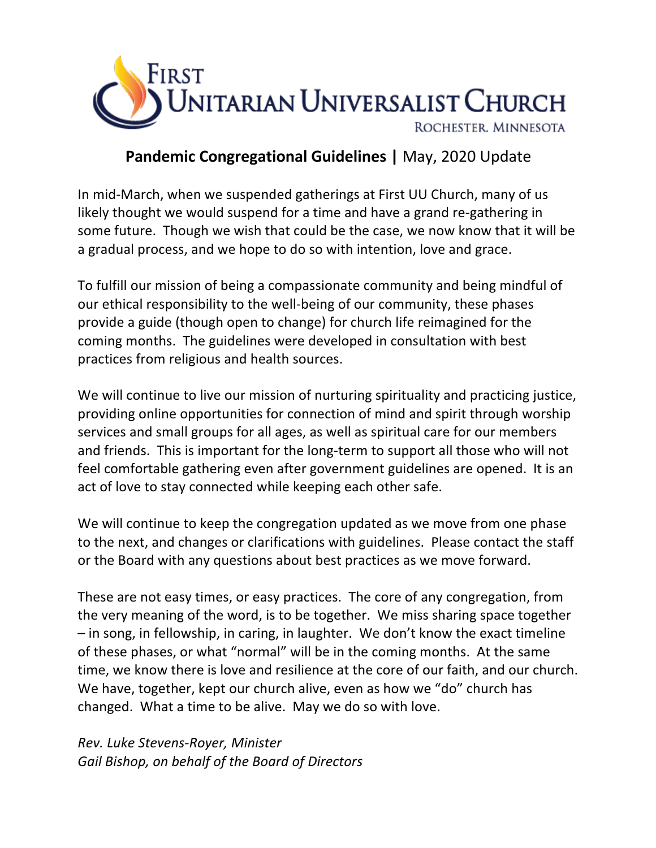

### **Pandemic Congregational Guidelines |** May, 2020 Update

In mid-March, when we suspended gatherings at First UU Church, many of us likely thought we would suspend for a time and have a grand re-gathering in some future. Though we wish that could be the case, we now know that it will be a gradual process, and we hope to do so with intention, love and grace.

To fulfill our mission of being a compassionate community and being mindful of our ethical responsibility to the well-being of our community, these phases provide a guide (though open to change) for church life reimagined for the coming months. The guidelines were developed in consultation with best practices from religious and health sources.

We will continue to live our mission of nurturing spirituality and practicing justice, providing online opportunities for connection of mind and spirit through worship services and small groups for all ages, as well as spiritual care for our members and friends. This is important for the long-term to support all those who will not feel comfortable gathering even after government guidelines are opened. It is an act of love to stay connected while keeping each other safe.

We will continue to keep the congregation updated as we move from one phase to the next, and changes or clarifications with guidelines. Please contact the staff or the Board with any questions about best practices as we move forward.

These are not easy times, or easy practices. The core of any congregation, from the very meaning of the word, is to be together. We miss sharing space together – in song, in fellowship, in caring, in laughter. We don't know the exact timeline of these phases, or what "normal" will be in the coming months. At the same time, we know there is love and resilience at the core of our faith, and our church. We have, together, kept our church alive, even as how we "do" church has changed. What a time to be alive. May we do so with love.

*Rev. Luke Stevens-Royer, Minister Gail Bishop, on behalf of the Board of Directors*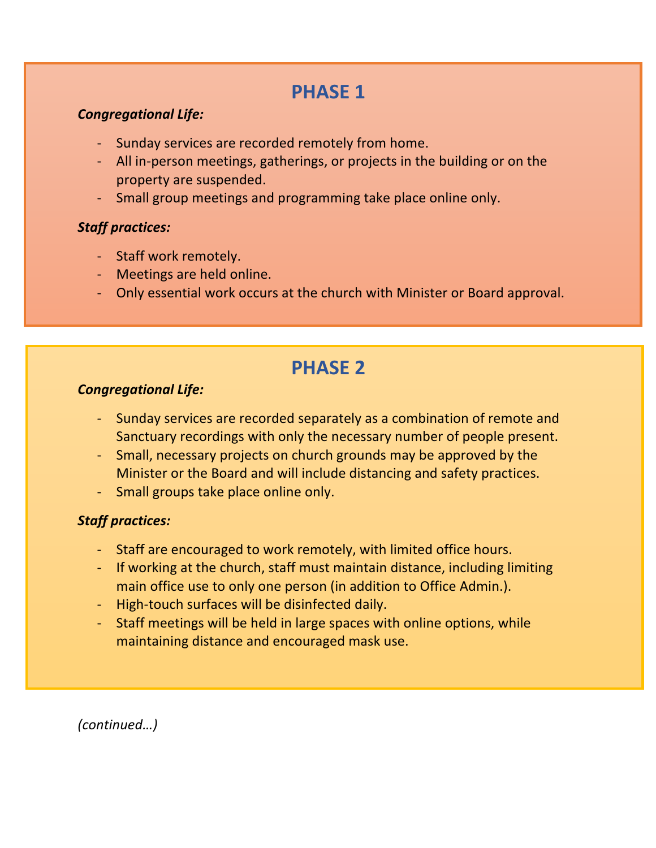# **PHASE 1**

### *Congregational Life:*

- Sunday services are recorded remotely from home.
- All in-person meetings, gatherings, or projects in the building or on the property are suspended.
- Small group meetings and programming take place online only.

### *Staff practices:*

- Staff work remotely.
- Meetings are held online.
- Only essential work occurs at the church with Minister or Board approval.

# **PHASE 2**

### *Congregational Life:*

- Sunday services are recorded separately as a combination of remote and Sanctuary recordings with only the necessary number of people present.
- Small, necessary projects on church grounds may be approved by the Minister or the Board and will include distancing and safety practices.
- Small groups take place online only.

### *Staff practices:*

- Staff are encouraged to work remotely, with limited office hours.
- If working at the church, staff must maintain distance, including limiting main office use to only one person (in addition to Office Admin.).
- High-touch surfaces will be disinfected daily.
- Staff meetings will be held in large spaces with online options, while maintaining distance and encouraged mask use.

*(continued…)*